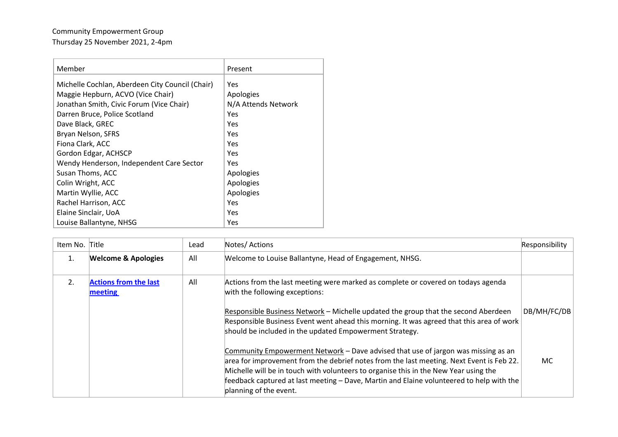## Community Empowerment Group Thursday 25 November 2021, 2-4pm

| Member                                          | Present             |
|-------------------------------------------------|---------------------|
| Michelle Cochlan, Aberdeen City Council (Chair) | Yes                 |
| Maggie Hepburn, ACVO (Vice Chair)               | Apologies           |
| Jonathan Smith, Civic Forum (Vice Chair)        | N/A Attends Network |
| Darren Bruce, Police Scotland                   | Yes                 |
| Dave Black, GREC                                | Yes                 |
| Bryan Nelson, SFRS                              | Yes                 |
| Fiona Clark, ACC                                | Yes                 |
| Gordon Edgar, ACHSCP                            | Yes                 |
| Wendy Henderson, Independent Care Sector        | Yes                 |
| Susan Thoms, ACC                                | Apologies           |
| Colin Wright, ACC                               | Apologies           |
| Martin Wyllie, ACC                              | Apologies           |
| Rachel Harrison, ACC                            | Yes                 |
| Elaine Sinclair, UoA                            | Yes                 |
| Louise Ballantyne, NHSG                         | Yes                 |

| Item No. Title |                                         | Lead | Notes/ Actions                                                                                                                                                                                                                                                                                                                                                                              | Responsibility |
|----------------|-----------------------------------------|------|---------------------------------------------------------------------------------------------------------------------------------------------------------------------------------------------------------------------------------------------------------------------------------------------------------------------------------------------------------------------------------------------|----------------|
| 1.             | <b>Welcome &amp; Apologies</b>          | All  | Welcome to Louise Ballantyne, Head of Engagement, NHSG.                                                                                                                                                                                                                                                                                                                                     |                |
| 2.             | <b>Actions from the last</b><br>meeting | All  | Actions from the last meeting were marked as complete or covered on todays agenda<br>with the following exceptions:                                                                                                                                                                                                                                                                         |                |
|                |                                         |      | Responsible Business Network - Michelle updated the group that the second Aberdeen<br>Responsible Business Event went ahead this morning. It was agreed that this area of work<br>should be included in the updated Empowerment Strategy.                                                                                                                                                   | DB/MH/FC/DB    |
|                |                                         |      | Community Empowerment Network – Dave advised that use of jargon was missing as an<br>area for improvement from the debrief notes from the last meeting. Next Event is Feb 22.<br>Michelle will be in touch with volunteers to organise this in the New Year using the<br>feedback captured at last meeting - Dave, Martin and Elaine volunteered to help with the<br>planning of the event. | MC.            |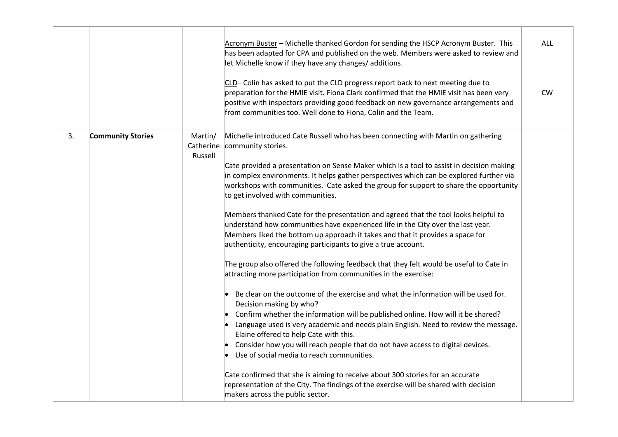|    |                          |                                 | Acronym Buster - Michelle thanked Gordon for sending the HSCP Acronym Buster. This<br>has been adapted for CPA and published on the web. Members were asked to review and<br>let Michelle know if they have any changes/ additions.<br>CLD-Colin has asked to put the CLD progress report back to next meeting due to<br>preparation for the HMIE visit. Fiona Clark confirmed that the HMIE visit has been very<br>positive with inspectors providing good feedback on new governance arrangements and<br>from communities too. Well done to Fiona, Colin and the Team.                                                                                                                                                                                                                                                                                                                                                                                                                                                                                                                                                                                                                                                                                                                                                                                                                                                                                                                                                                                                                                      | ALL<br><b>CW</b> |
|----|--------------------------|---------------------------------|---------------------------------------------------------------------------------------------------------------------------------------------------------------------------------------------------------------------------------------------------------------------------------------------------------------------------------------------------------------------------------------------------------------------------------------------------------------------------------------------------------------------------------------------------------------------------------------------------------------------------------------------------------------------------------------------------------------------------------------------------------------------------------------------------------------------------------------------------------------------------------------------------------------------------------------------------------------------------------------------------------------------------------------------------------------------------------------------------------------------------------------------------------------------------------------------------------------------------------------------------------------------------------------------------------------------------------------------------------------------------------------------------------------------------------------------------------------------------------------------------------------------------------------------------------------------------------------------------------------|------------------|
| 3. | <b>Community Stories</b> | Martin/<br>Catherine<br>Russell | Michelle introduced Cate Russell who has been connecting with Martin on gathering<br>community stories.<br>Cate provided a presentation on Sense Maker which is a tool to assist in decision making<br>in complex environments. It helps gather perspectives which can be explored further via<br>workshops with communities. Cate asked the group for support to share the opportunity<br>to get involved with communities.<br>Members thanked Cate for the presentation and agreed that the tool looks helpful to<br>understand how communities have experienced life in the City over the last year.<br>Members liked the bottom up approach it takes and that it provides a space for<br>authenticity, encouraging participants to give a true account.<br>The group also offered the following feedback that they felt would be useful to Cate in<br>attracting more participation from communities in the exercise:<br>Be clear on the outcome of the exercise and what the information will be used for.<br>Decision making by who?<br>Confirm whether the information will be published online. How will it be shared?<br>Language used is very academic and needs plain English. Need to review the message.<br>Elaine offered to help Cate with this.<br>Consider how you will reach people that do not have access to digital devices.<br>Use of social media to reach communities.<br>Cate confirmed that she is aiming to receive about 300 stories for an accurate<br>representation of the City. The findings of the exercise will be shared with decision<br>makers across the public sector. |                  |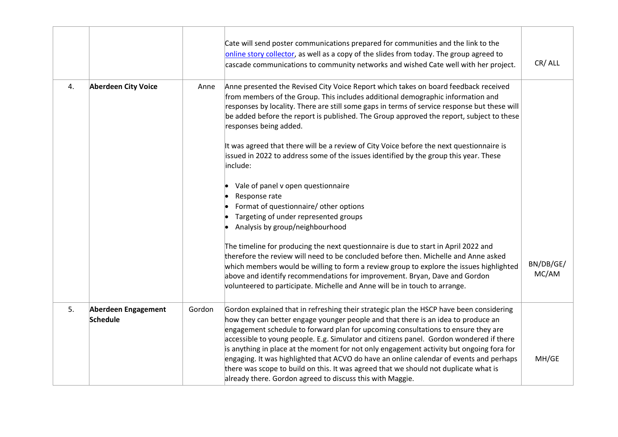|    |                                        |        | Cate will send poster communications prepared for communities and the link to the<br>online story collector, as well as a copy of the slides from today. The group agreed to<br>cascade communications to community networks and wished Cate well with her project.                                                                                                                                                                                                                                                                                                                                                                                                                                      | CR/ALL             |
|----|----------------------------------------|--------|----------------------------------------------------------------------------------------------------------------------------------------------------------------------------------------------------------------------------------------------------------------------------------------------------------------------------------------------------------------------------------------------------------------------------------------------------------------------------------------------------------------------------------------------------------------------------------------------------------------------------------------------------------------------------------------------------------|--------------------|
| 4. | <b>Aberdeen City Voice</b>             | Anne   | Anne presented the Revised City Voice Report which takes on board feedback received<br>from members of the Group. This includes additional demographic information and<br>responses by locality. There are still some gaps in terms of service response but these will<br>be added before the report is published. The Group approved the report, subject to these<br>responses being added.                                                                                                                                                                                                                                                                                                             |                    |
|    |                                        |        | It was agreed that there will be a review of City Voice before the next questionnaire is<br>issued in 2022 to address some of the issues identified by the group this year. These<br>include:                                                                                                                                                                                                                                                                                                                                                                                                                                                                                                            |                    |
|    |                                        |        | Vale of panel v open questionnaire<br>Response rate<br>Format of questionnaire/ other options<br>Targeting of under represented groups<br>Analysis by group/neighbourhood                                                                                                                                                                                                                                                                                                                                                                                                                                                                                                                                |                    |
|    |                                        |        | The timeline for producing the next questionnaire is due to start in April 2022 and<br>therefore the review will need to be concluded before then. Michelle and Anne asked<br>which members would be willing to form a review group to explore the issues highlighted<br>above and identify recommendations for improvement. Bryan, Dave and Gordon<br>volunteered to participate. Michelle and Anne will be in touch to arrange.                                                                                                                                                                                                                                                                        | BN/DB/GE/<br>MC/AM |
| 5. | Aberdeen Engagement<br><b>Schedule</b> | Gordon | Gordon explained that in refreshing their strategic plan the HSCP have been considering<br>how they can better engage younger people and that there is an idea to produce an<br>engagement schedule to forward plan for upcoming consultations to ensure they are<br>accessible to young people. E.g. Simulator and citizens panel. Gordon wondered if there<br>is anything in place at the moment for not only engagement activity but ongoing fora for<br>engaging. It was highlighted that ACVO do have an online calendar of events and perhaps<br>there was scope to build on this. It was agreed that we should not duplicate what is<br>already there. Gordon agreed to discuss this with Maggie. | MH/GE              |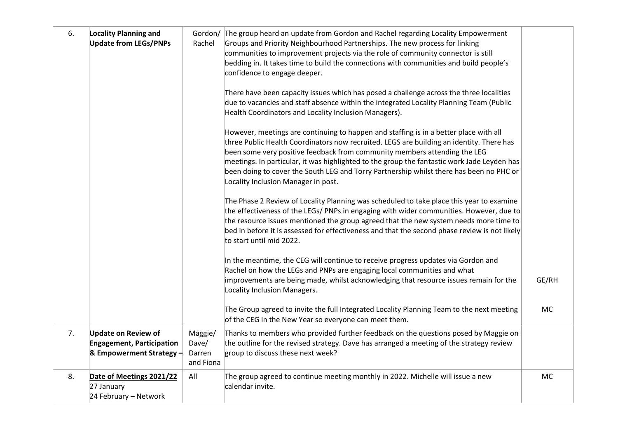| 6. | <b>Locality Planning and</b><br><b>Update from LEGs/PNPs</b>                               | Gordon/<br>Rachel                       | The group heard an update from Gordon and Rachel regarding Locality Empowerment<br>Groups and Priority Neighbourhood Partnerships. The new process for linking<br>communities to improvement projects via the role of community connector is still<br>bedding in. It takes time to build the connections with communities and build people's<br>confidence to engage deeper.<br>There have been capacity issues which has posed a challenge across the three localities<br>due to vacancies and staff absence within the integrated Locality Planning Team (Public<br>Health Coordinators and Locality Inclusion Managers).<br>However, meetings are continuing to happen and staffing is in a better place with all<br>three Public Health Coordinators now recruited. LEGS are building an identity. There has<br>been some very positive feedback from community members attending the LEG<br>meetings. In particular, it was highlighted to the group the fantastic work Jade Leyden has<br>been doing to cover the South LEG and Torry Partnership whilst there has been no PHC or<br>Locality Inclusion Manager in post.<br>The Phase 2 Review of Locality Planning was scheduled to take place this year to examine<br>the effectiveness of the LEGs/ PNPs in engaging with wider communities. However, due to<br>the resource issues mentioned the group agreed that the new system needs more time to<br>bed in before it is assessed for effectiveness and that the second phase review is not likely<br>to start until mid 2022.<br>In the meantime, the CEG will continue to receive progress updates via Gordon and<br>Rachel on how the LEGs and PNPs are engaging local communities and what<br>improvements are being made, whilst acknowledging that resource issues remain for the<br>Locality Inclusion Managers.<br>The Group agreed to invite the full Integrated Locality Planning Team to the next meeting | GE/RH<br><b>MC</b> |
|----|--------------------------------------------------------------------------------------------|-----------------------------------------|-----------------------------------------------------------------------------------------------------------------------------------------------------------------------------------------------------------------------------------------------------------------------------------------------------------------------------------------------------------------------------------------------------------------------------------------------------------------------------------------------------------------------------------------------------------------------------------------------------------------------------------------------------------------------------------------------------------------------------------------------------------------------------------------------------------------------------------------------------------------------------------------------------------------------------------------------------------------------------------------------------------------------------------------------------------------------------------------------------------------------------------------------------------------------------------------------------------------------------------------------------------------------------------------------------------------------------------------------------------------------------------------------------------------------------------------------------------------------------------------------------------------------------------------------------------------------------------------------------------------------------------------------------------------------------------------------------------------------------------------------------------------------------------------------------------------------------------------------------------------------------------------------------------------------------------|--------------------|
| 7. | <b>Update on Review of</b><br><b>Engagement, Participation</b><br>& Empowerment Strategy - | Maggie/<br>Dave/<br>Darren<br>and Fiona | of the CEG in the New Year so everyone can meet them.<br>Thanks to members who provided further feedback on the questions posed by Maggie on<br>the outline for the revised strategy. Dave has arranged a meeting of the strategy review<br>group to discuss these next week?                                                                                                                                                                                                                                                                                                                                                                                                                                                                                                                                                                                                                                                                                                                                                                                                                                                                                                                                                                                                                                                                                                                                                                                                                                                                                                                                                                                                                                                                                                                                                                                                                                                     |                    |
| 8. | Date of Meetings 2021/22<br>27 January<br>24 February - Network                            | All                                     | The group agreed to continue meeting monthly in 2022. Michelle will issue a new<br>calendar invite.                                                                                                                                                                                                                                                                                                                                                                                                                                                                                                                                                                                                                                                                                                                                                                                                                                                                                                                                                                                                                                                                                                                                                                                                                                                                                                                                                                                                                                                                                                                                                                                                                                                                                                                                                                                                                               | MC                 |